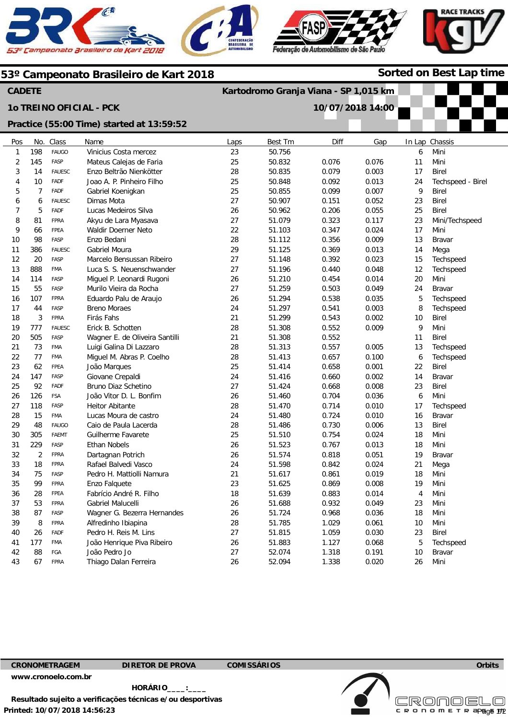





**Sorted on Best Lap time**

#### **53º Campeonato Brasileiro de Kart 2018**

#### **CADETE**

### **1o TREINO OFICIAL - PCK**

# **Kartodromo Granja Viana - SP 1,015 km**



| Practice (55:00 Time) started at 13:59:52 |                |               |                                |      |         |       |       |                |                   |
|-------------------------------------------|----------------|---------------|--------------------------------|------|---------|-------|-------|----------------|-------------------|
| Pos                                       | No.            | Class         | Name                           | Laps | Best Tm | Diff  | Gap   |                | In Lap Chassis    |
| 1                                         | 198            | <b>FAUGO</b>  | Vinicius Costa mercez          | 23   | 50.756  |       |       | 6              | Mini              |
| 2                                         | 145            | FASP          | Mateus Calejas de Faria        | 25   | 50.832  | 0.076 | 0.076 | 11             | Mini              |
| 3                                         | 14             | <b>FAUESC</b> | Enzo Beltrão Nienkötter        | 28   | 50.835  | 0.079 | 0.003 | 17             | <b>Birel</b>      |
| 4                                         | 10             | <b>FADF</b>   | Joao A. P. Pinheiro Filho      | 25   | 50.848  | 0.092 | 0.013 | 24             | Techspeed - Birel |
| 5                                         | $\overline{7}$ | FADF          | Gabriel Koenigkan              | 25   | 50.855  | 0.099 | 0.007 | 9              | <b>Birel</b>      |
| 6                                         | 6              | <b>FAUESC</b> | Dimas Mota                     | 27   | 50.907  | 0.151 | 0.052 | 23             | <b>Birel</b>      |
| $\overline{7}$                            | 5              | <b>FADF</b>   | Lucas Medeiros Silva           | 26   | 50.962  | 0.206 | 0.055 | 25             | <b>Birel</b>      |
| 8                                         | 81             | <b>FPRA</b>   | Akyu de Lara Myasava           | 27   | 51.079  | 0.323 | 0.117 | 23             | Mini/Techspeed    |
| 9                                         | 66             | FPEA          | Waldir Doerner Neto            | 22   | 51.103  | 0.347 | 0.024 | 17             | Mini              |
| 10                                        | 98             | FASP          | Enzo Bedani                    | 28   | 51.112  | 0.356 | 0.009 | 13             | <b>Bravar</b>     |
| 11                                        | 386            | <b>FAUESC</b> | <b>Gabriel Moura</b>           | 29   | 51.125  | 0.369 | 0.013 | 14             | Mega              |
| 12                                        | 20             | FASP          | Marcelo Bensussan Ribeiro      | 27   | 51.148  | 0.392 | 0.023 | 15             | Techspeed         |
| 13                                        | 888            | FMA           | Luca S. S. Neuenschwander      | 27   | 51.196  | 0.440 | 0.048 | 12             | Techspeed         |
| 14                                        | 114            | FASP          | Miguel P. Leonardi Rugoni      | 26   | 51.210  | 0.454 | 0.014 | 20             | Mini              |
| 15                                        | 55             | FASP          | Murilo Vieira da Rocha         | 27   | 51.259  | 0.503 | 0.049 | 24             | <b>Bravar</b>     |
| 16                                        | 107            | <b>FPRA</b>   | Eduardo Palu de Araujo         | 26   | 51.294  | 0.538 | 0.035 | 5              | Techspeed         |
| 17                                        | 44             | FASP          | <b>Breno Moraes</b>            | 24   | 51.297  | 0.541 | 0.003 | 8              | Techspeed         |
| 18                                        | 3              | FPRA          | Firás Fahs                     | 21   | 51.299  | 0.543 | 0.002 | 10             | <b>Birel</b>      |
| 19                                        | 777            | <b>FAUESC</b> | Erick B. Schotten              | 28   | 51.308  | 0.552 | 0.009 | 9              | Mini              |
| 20                                        | 505            | FASP          | Wagner E. de Oliveira Santilli | 21   | 51.308  | 0.552 |       | 11             | <b>Birel</b>      |
| 21                                        | 73             | <b>FMA</b>    | Luigi Galina Di Lazzaro        | 28   | 51.313  | 0.557 | 0.005 | 13             | Techspeed         |
| 22                                        | 77             | <b>FMA</b>    | Miguel M. Abras P. Coelho      | 28   | 51.413  | 0.657 | 0.100 | 6              | Techspeed         |
| 23                                        | 62             | FPEA          | João Marques                   | 25   | 51.414  | 0.658 | 0.001 | 22             | <b>Birel</b>      |
| 24                                        | 147            | FASP          | Giovane Crepaldi               | 24   | 51.416  | 0.660 | 0.002 | 14             | <b>Bravar</b>     |
| 25                                        | 92             | <b>FADF</b>   | Bruno Diaz Schetino            | 27   | 51.424  | 0.668 | 0.008 | 23             | <b>Birel</b>      |
| 26                                        | 126            | <b>FSA</b>    | João Vitor D. L. Bonfim        | 26   | 51.460  | 0.704 | 0.036 | 6              | Mini              |
| 27                                        | 118            | FASP          | <b>Heitor Abitante</b>         | 28   | 51.470  | 0.714 | 0.010 | 17             | Techspeed         |
| 28                                        | 15             | <b>FMA</b>    | Lucas Moura de castro          | 24   | 51.480  | 0.724 | 0.010 | 16             | <b>Bravar</b>     |
| 29                                        | 48             | <b>FAUGO</b>  | Caio de Paula Lacerda          | 28   | 51.486  | 0.730 | 0.006 | 13             | <b>Birel</b>      |
| 30                                        | 305            | <b>FAEMT</b>  | Guilherme Favarete             | 25   | 51.510  | 0.754 | 0.024 | 18             | Mini              |
| 31                                        | 229            | FASP          | Ethan Nobels                   | 26   | 51.523  | 0.767 | 0.013 | 18             | Mini              |
| 32                                        | $\overline{2}$ | <b>FPRA</b>   | Dartagnan Potrich              | 26   | 51.574  | 0.818 | 0.051 | 19             | <b>Bravar</b>     |
| 33                                        | 18             | <b>FPRA</b>   | Rafael Balvedi Vasco           | 24   | 51.598  | 0.842 | 0.024 | 21             | Mega              |
| 34                                        | 75             | FASP          | Pedro H. Mattiolli Namura      | 21   | 51.617  | 0.861 | 0.019 | 18             | Mini              |
| 35                                        | 99             | <b>FPRA</b>   | Enzo Falquete                  | 23   | 51.625  | 0.869 | 0.008 | 19             | Mini              |
| 36                                        | 28             | FPEA          | Fabrício André R. Filho        | 18   | 51.639  | 0.883 | 0.014 | $\overline{4}$ | Mini              |
| 37                                        | 53             | <b>FPRA</b>   | Gabriel Malucelli              | 26   | 51.688  | 0.932 | 0.049 | 23             | Mini              |
| 38                                        | 87             | FASP          | Wagner G. Bezerra Hernandes    | 26   | 51.724  | 0.968 | 0.036 | 18             | Mini              |
| 39                                        | 8              | <b>FPRA</b>   | Alfredinho Ibiapina            | 28   | 51.785  | 1.029 | 0.061 | 10             | Mini              |
| 40                                        | 26             | <b>FADF</b>   | Pedro H. Reis M. Lins          | 27   | 51.815  | 1.059 | 0.030 | 23             | <b>Birel</b>      |

41 42 43 177 88 67

FMA FGA FPRA

26 27 26 51.883 52.074 52.094

1.127 1.318 1.338 0.068 0.191 0.020

5 10 26 Techspeed Bravar Mini

**Orbits** 

Page 1/2

**Licensed to: Cronoelo** 

CRONOMETR

**Printed: 10/07/2018 14:56:23 HORÁRIO\_\_\_\_:\_\_\_\_ Resultado sujeito a verificações técnicas e/ou desportivas** 

João Henrique Piva Ribeiro

João Pedro Jo Thiago Dalan Ferreira